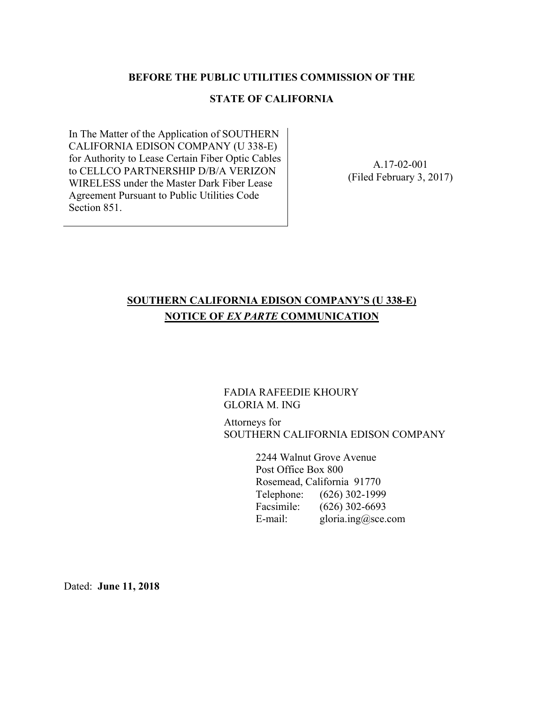#### **BEFORE THE PUBLIC UTILITIES COMMISSION OF THE**

#### **STATE OF CALIFORNIA**

In The Matter of the Application of SOUTHERN CALIFORNIA EDISON COMPANY (U 338-E) for Authority to Lease Certain Fiber Optic Cables to CELLCO PARTNERSHIP D/B/A VERIZON WIRELESS under the Master Dark Fiber Lease Agreement Pursuant to Public Utilities Code Section 851.

A.17-02-001 (Filed February 3, 2017)

## **SOUTHERN CALIFORNIA EDISON COMPANY'S (U 338-E) NOTICE OF** *EX PARTE* **COMMUNICATION**

### FADIA RAFEEDIE KHOURY GLORIA M. ING

Attorneys for SOUTHERN CALIFORNIA EDISON COMPANY

> 2244 Walnut Grove Avenue Post Office Box 800 Rosemead, California 91770 Telephone: (626) 302-1999 Facsimile: (626) 302-6693 E-mail: gloria.ing@sce.com

Dated: **June 11, 2018**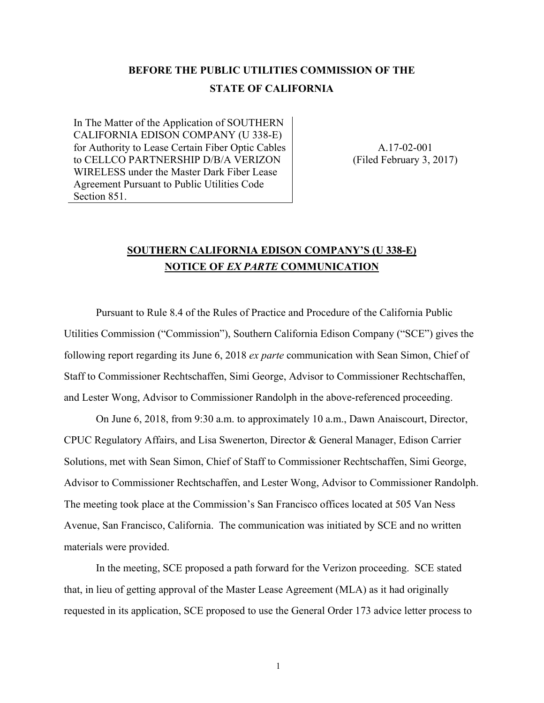# **BEFORE THE PUBLIC UTILITIES COMMISSION OF THE STATE OF CALIFORNIA**

In The Matter of the Application of SOUTHERN CALIFORNIA EDISON COMPANY (U 338-E) for Authority to Lease Certain Fiber Optic Cables to CELLCO PARTNERSHIP D/B/A VERIZON WIRELESS under the Master Dark Fiber Lease Agreement Pursuant to Public Utilities Code Section 851.

A.17-02-001 (Filed February 3, 2017)

### **SOUTHERN CALIFORNIA EDISON COMPANY'S (U 338-E) NOTICE OF** *EX PARTE* **COMMUNICATION**

Pursuant to Rule 8.4 of the Rules of Practice and Procedure of the California Public Utilities Commission ("Commission"), Southern California Edison Company ("SCE") gives the following report regarding its June 6, 2018 *ex parte* communication with Sean Simon, Chief of Staff to Commissioner Rechtschaffen, Simi George, Advisor to Commissioner Rechtschaffen, and Lester Wong, Advisor to Commissioner Randolph in the above-referenced proceeding.

On June 6, 2018, from 9:30 a.m. to approximately 10 a.m., Dawn Anaiscourt, Director, CPUC Regulatory Affairs, and Lisa Swenerton, Director & General Manager, Edison Carrier Solutions, met with Sean Simon, Chief of Staff to Commissioner Rechtschaffen, Simi George, Advisor to Commissioner Rechtschaffen, and Lester Wong, Advisor to Commissioner Randolph. The meeting took place at the Commission's San Francisco offices located at 505 Van Ness Avenue, San Francisco, California. The communication was initiated by SCE and no written materials were provided.

In the meeting, SCE proposed a path forward for the Verizon proceeding. SCE stated that, in lieu of getting approval of the Master Lease Agreement (MLA) as it had originally requested in its application, SCE proposed to use the General Order 173 advice letter process to

1